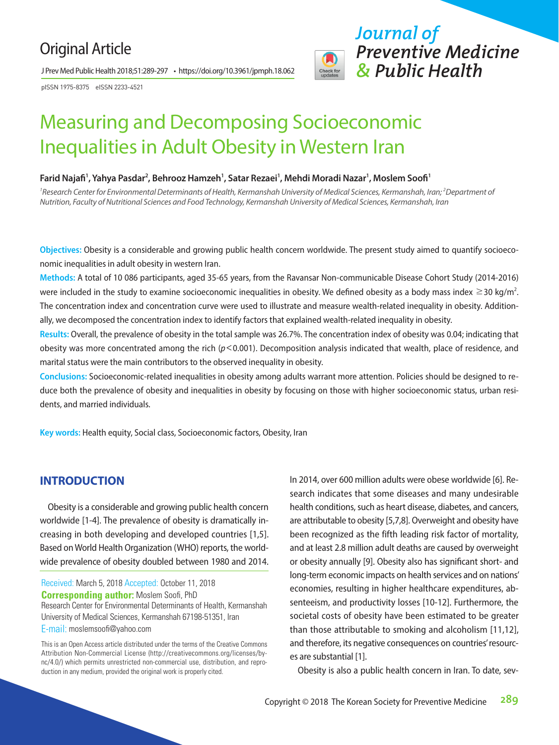# Original Article

J Prev Med Public Health 2018;51:289-297 • https://doi.org/10.3961/jpmph.18.062

pISSN 1975-8375 eISSN 2233-4521



# Measuring and Decomposing Socioeconomic Inequalities in Adult Obesity in Western Iran

#### **Farid Najafi<sup>1</sup>, Yahya Pasdar<sup>2</sup>, Behrooz Hamzeh<sup>1</sup>, Satar Rezaei<sup>1</sup>, Mehdi Moradi Nazar<sup>1</sup>, Moslem Soofi<sup>1</sup>**

<sup>1</sup> Research Center for Environmental Determinants of Health, Kermanshah University of Medical Sciences, Kermanshah, Iran; <sup>2</sup> Department of *Nutrition, Faculty of Nutritional Sciences and Food Technology, Kermanshah University of Medical Sciences, Kermanshah, Iran*

**Objectives:** Obesity is a considerable and growing public health concern worldwide. The present study aimed to quantify socioeconomic inequalities in adult obesity in western Iran.

**Methods:** A total of 10 086 participants, aged 35-65 years, from the Ravansar Non-communicable Disease Cohort Study (2014-2016) were included in the study to examine socioeconomic inequalities in obesity. We defined obesity as a body mass index  $\geq$ 30 kg/m<sup>2</sup>. The concentration index and concentration curve were used to illustrate and measure wealth-related inequality in obesity. Additionally, we decomposed the concentration index to identify factors that explained wealth-related inequality in obesity.

**Results:** Overall, the prevalence of obesity in the total sample was 26.7%. The concentration index of obesity was 0.04; indicating that obesity was more concentrated among the rich (*p*<0.001). Decomposition analysis indicated that wealth, place of residence, and marital status were the main contributors to the observed inequality in obesity.

**Conclusions:** Socioeconomic-related inequalities in obesity among adults warrant more attention. Policies should be designed to reduce both the prevalence of obesity and inequalities in obesity by focusing on those with higher socioeconomic status, urban residents, and married individuals.

**Key words:** Health equity, Social class, Socioeconomic factors, Obesity, Iran

# **INTRODUCTION**

Obesity is a considerable and growing public health concern worldwide [1-4]. The prevalence of obesity is dramatically increasing in both developing and developed countries [1,5]. Based on World Health Organization (WHO) reports, the worldwide prevalence of obesity doubled between 1980 and 2014.

Received: March 5, 2018 Accepted: October 11, 2018 **Corresponding author:** Moslem Soofi, PhD Research Center for Environmental Determinants of Health, Kermanshah University of Medical Sciences, Kermanshah 67198-51351, Iran E-mail: moslemsoofi@yahoo.com

In 2014, over 600 million adults were obese worldwide [6]. Research indicates that some diseases and many undesirable health conditions, such as heart disease, diabetes, and cancers, are attributable to obesity [5,7,8]. Overweight and obesity have been recognized as the fifth leading risk factor of mortality, and at least 2.8 million adult deaths are caused by overweight or obesity annually [9]. Obesity also has significant short- and long-term economic impacts on health services and on nations' economies, resulting in higher healthcare expenditures, absenteeism, and productivity losses [10-12]. Furthermore, the societal costs of obesity have been estimated to be greater than those attributable to smoking and alcoholism [11,12], and therefore, its negative consequences on countries' resources are substantial [1].

Obesity is also a public health concern in Iran. To date, sev-

This is an Open Access article distributed under the terms of the Creative Commons Attribution Non-Commercial License (http://creativecommons.org/licenses/bync/4.0/) which permits unrestricted non-commercial use, distribution, and reproduction in any medium, provided the original work is properly cited.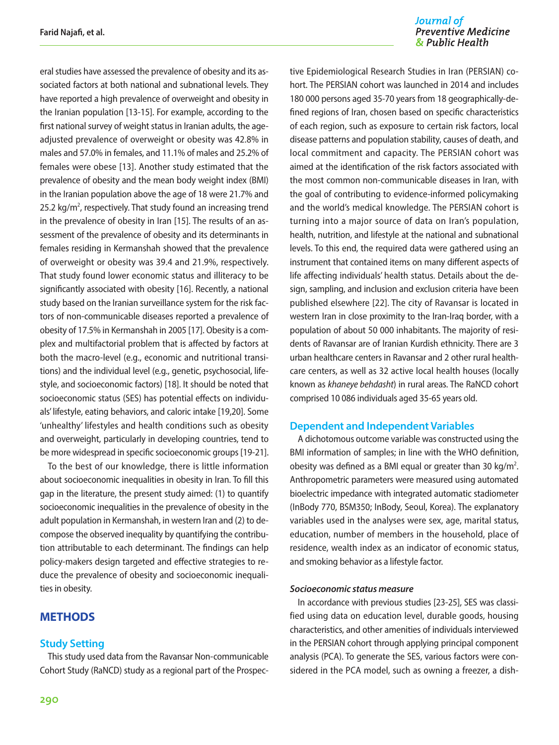eral studies have assessed the prevalence of obesity and its associated factors at both national and subnational levels. They have reported a high prevalence of overweight and obesity in the Iranian population [13-15]. For example, according to the first national survey of weight status in Iranian adults, the ageadjusted prevalence of overweight or obesity was 42.8% in males and 57.0% in females, and 11.1% of males and 25.2% of females were obese [13]. Another study estimated that the prevalence of obesity and the mean body weight index (BMI) in the Iranian population above the age of 18 were 21.7% and 25.2  $kg/m<sup>2</sup>$ , respectively. That study found an increasing trend in the prevalence of obesity in Iran [15]. The results of an assessment of the prevalence of obesity and its determinants in females residing in Kermanshah showed that the prevalence of overweight or obesity was 39.4 and 21.9%, respectively. That study found lower economic status and illiteracy to be significantly associated with obesity [16]. Recently, a national study based on the Iranian surveillance system for the risk factors of non-communicable diseases reported a prevalence of obesity of 17.5% in Kermanshah in 2005 [17]. Obesity is a complex and multifactorial problem that is affected by factors at both the macro-level (e.g., economic and nutritional transitions) and the individual level (e.g., genetic, psychosocial, lifestyle, and socioeconomic factors) [18]. It should be noted that socioeconomic status (SES) has potential effects on individuals' lifestyle, eating behaviors, and caloric intake [19,20]. Some 'unhealthy' lifestyles and health conditions such as obesity and overweight, particularly in developing countries, tend to be more widespread in specific socioeconomic groups [19-21].

To the best of our knowledge, there is little information about socioeconomic inequalities in obesity in Iran. To fill this gap in the literature, the present study aimed: (1) to quantify socioeconomic inequalities in the prevalence of obesity in the adult population in Kermanshah, in western Iran and (2) to decompose the observed inequality by quantifying the contribution attributable to each determinant. The findings can help policy-makers design targeted and effective strategies to reduce the prevalence of obesity and socioeconomic inequalities in obesity.

# **METHODS**

#### **Study Setting**

This study used data from the Ravansar Non-communicable Cohort Study (RaNCD) study as a regional part of the Prospec-

#### Journal of **Preventive Medicine** & Public Health

tive Epidemiological Research Studies in Iran (PERSIAN) cohort. The PERSIAN cohort was launched in 2014 and includes 180 000 persons aged 35-70 years from 18 geographically-defined regions of Iran, chosen based on specific characteristics of each region, such as exposure to certain risk factors, local disease patterns and population stability, causes of death, and local commitment and capacity. The PERSIAN cohort was aimed at the identification of the risk factors associated with the most common non-communicable diseases in Iran, with the goal of contributing to evidence-informed policymaking and the world's medical knowledge. The PERSIAN cohort is turning into a major source of data on Iran's population, health, nutrition, and lifestyle at the national and subnational levels. To this end, the required data were gathered using an instrument that contained items on many different aspects of life affecting individuals' health status. Details about the design, sampling, and inclusion and exclusion criteria have been published elsewhere [22]. The city of Ravansar is located in western Iran in close proximity to the Iran-Iraq border, with a population of about 50 000 inhabitants. The majority of residents of Ravansar are of Iranian Kurdish ethnicity. There are 3 urban healthcare centers in Ravansar and 2 other rural healthcare centers, as well as 32 active local health houses (locally known as *khaneye behdasht*) in rural areas. The RaNCD cohort comprised 10 086 individuals aged 35-65 years old.

#### **Dependent and Independent Variables**

A dichotomous outcome variable was constructed using the BMI information of samples; in line with the WHO definition, obesity was defined as a BMI equal or greater than 30 kg/m<sup>2</sup>. Anthropometric parameters were measured using automated bioelectric impedance with integrated automatic stadiometer (InBody 770, BSM350; InBody, Seoul, Korea). The explanatory variables used in the analyses were sex, age, marital status, education, number of members in the household, place of residence, wealth index as an indicator of economic status, and smoking behavior as a lifestyle factor.

#### *Socioeconomic status measure*

In accordance with previous studies [23-25], SES was classified using data on education level, durable goods, housing characteristics, and other amenities of individuals interviewed in the PERSIAN cohort through applying principal component analysis (PCA). To generate the SES, various factors were considered in the PCA model, such as owning a freezer, a dish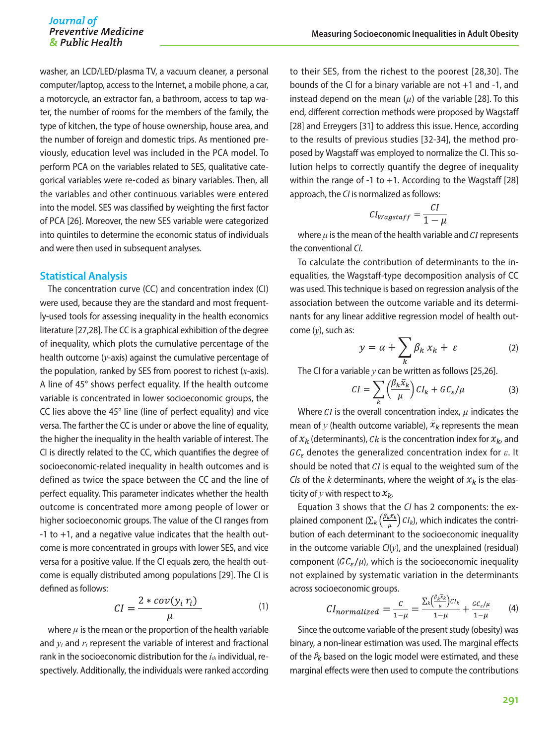washer, an LCD/LED/plasma TV, a vacuum cleaner, a personal computer/laptop, access to the Internet, a mobile phone, a car, a motorcycle, an extractor fan, a bathroom, access to tap water, the number of rooms for the members of the family, the type of kitchen, the type of house ownership, house area, and the number of foreign and domestic trips. As mentioned previously, education level was included in the PCA model. To perform PCA on the variables related to SES, qualitative categorical variables were re-coded as binary variables. Then, all the variables and other continuous variables were entered into the model. SES was classified by weighting the first factor of PCA [26]. Moreover, the new SES variable were categorized into quintiles to determine the economic status of individuals and were then used in subsequent analyses.

#### **Statistical Analysis**

The concentration curve (CC) and concentration index (CI) were used, because they are the standard and most frequently-used tools for assessing inequality in the health economics literature [27,28]. The CC is a graphical exhibition of the degree of inequality, which plots the cumulative percentage of the health outcome (*y*-axis) against the cumulative percentage of the population, ranked by SES from poorest to richest (*x*-axis). A line of 45° shows perfect equality. If the health outcome variable is concentrated in lower socioeconomic groups, the CC lies above the 45° line (line of perfect equality) and vice versa. The farther the CC is under or above the line of equality, the higher the inequality in the health variable of interest. The CI is directly related to the CC, which quantifies the degree of socioeconomic-related inequality in health outcomes and is defined as twice the space between the CC and the line of perfect equality. This parameter indicates whether the health outcome is concentrated more among people of lower or higher socioeconomic groups. The value of the CI ranges from -1 to +1, and a negative value indicates that the health outcome is more concentrated in groups with lower SES, and vice versa for a positive value. If the CI equals zero, the health outcome is equally distributed among populations [29]. The CI is defined as follows:

$$
CI = \frac{2 * cov(y_i r_i)}{\mu} \tag{1}
$$

where  $\mu$  is the mean or the proportion of the health variable and *yi* and *ri* represent the variable of interest and fractional rank in the socioeconomic distribution for the  $i<sub>th</sub>$  individual, respectively. Additionally, the individuals were ranked according

to their SES, from the richest to the poorest [28,30]. The bounds of the CI for a binary variable are not +1 and -1, and instead depend on the mean  $(\mu)$  of the variable [28]. To this end, different correction methods were proposed by Wagstaff [28] and Erreygers [31] to address this issue. Hence, according to the results of previous studies [32-34], the method proposed by Wagstaff was employed to normalize the CI. This solution helps to correctly quantify the degree of inequality within the range of -1 to  $+1$ . According to the Wagstaff [28] approach, the *CI* is normalized as follows:

$$
CI_{Wagstaff} = \frac{CI}{1 - \mu}
$$

where  $\mu$  is the mean of the health variable and  $CI$  represents the conventional *CI*.

To calculate the contribution of determinants to the inequalities, the Wagstaff-type decomposition analysis of CC was used. This technique is based on regression analysis of the association between the outcome variable and its determinants for any linear additive regression model of health outcome (*y*), such as:

$$
y = \alpha + \sum_{k} \beta_k x_k + \varepsilon \tag{2}
$$

The CI for a variable *y* can be written as follows [25,26].

$$
CI = \sum_{k} \left( \frac{\beta_k \bar{x}_k}{\mu} \right) CI_k + GC_{\varepsilon}/\mu \tag{3}
$$

Where  $CI$  is the overall concentration index,  $\mu$  indicates the mean of *y* (health outcome variable),  $\bar{x}_k$  represents the mean of  $x_k$  (determinants), Ck is the concentration index for  $x_k$ , and  $GC_{\varepsilon}$  denotes the generalized concentration index for  $\varepsilon$ . It should be noted that  $CI$  is equal to the weighted sum of the *CIs* of the *k* determinants, where the weight of  $x_k$  is the elasticity of  $y$  with respect to  $x_k$ .

Equation 3 shows that the *CI* has 2 components: the explained component  $(\sum_k {\frac{\beta_k \bar{x}_k}{\mu}} C I_k)$ , which indicates the contribution of each determinant to the socioeconomic inequality in the outcome variable *CI*(*y*), and the unexplained (residual) component  $(GC_{\varepsilon}/\mu)$ , which is the socioeconomic inequality not explained by systematic variation in the determinants across socioeconomic groups.

$$
CI_{normalized} = \frac{c}{1-\mu} = \frac{\sum_{k} \left(\frac{\beta_k x_k}{\mu}\right) c I_k}{1-\mu} + \frac{c c_{\varepsilon}/\mu}{1-\mu} \tag{4}
$$

Since the outcome variable of the present study (obesity) was binary, a non-linear estimation was used. The marginal effects of the  $\beta_k$  based on the logic model were estimated, and these marginal effects were then used to compute the contributions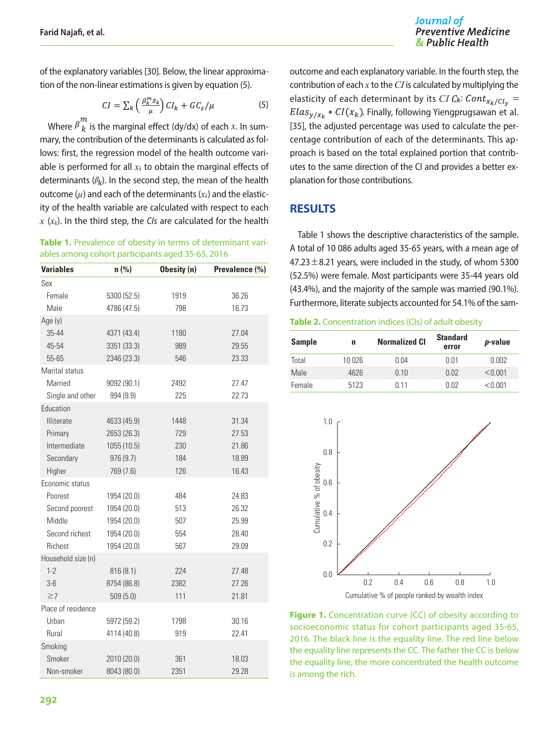Journal of **Preventive Medicine** & Public Health

of the explanatory variables [30]. Below, the linear approximation of the non-linear estimations is given by equation (5).

$$
CI = \sum_{k} \left( \frac{\beta_k^m \bar{x}_k}{\mu} \right) CI_k + GC_{\varepsilon}/\mu \tag{5}
$$

Where  $\beta_{k}^{m}$  is the marginal effect (dy/dx) of each *x*. In summary, the contribution of the determinants is calculated as follows: first, the regression model of the health outcome variable is performed for all  $x_k$  to obtain the marginal effects of determinants  $(\beta_k)$ . In the second step, the mean of the health outcome  $(\mu)$  and each of the determinants  $(x_k)$  and the elasticity of the health variable are calculated with respect to each *x* (*xk*). In the third step, the *CIs* are calculated for the health

| Table 1. Prevalence of obesity in terms of determinant vari- |
|--------------------------------------------------------------|
| ables among cohort participants aged 35-65, 2016             |

| <b>Variables</b>   | n(% )       | Obesity (n) | Prevalence (%) |
|--------------------|-------------|-------------|----------------|
| Sex                |             |             |                |
| Female             | 5300 (52.5) | 1919        | 36.26          |
| Male               | 4786 (47.5) | 798         | 16.73          |
| Age (y)            |             |             |                |
| 35-44              | 4371 (43.4) | 1180        | 27.04          |
| 45-54              | 3351 (33.3) | 989         | 29.55          |
| 55-65              | 2346 (23.3) | 546         | 23.33          |
| Marital status     |             |             |                |
| Married            | 9092 (90.1) | 2492        | 27.47          |
| Single and other   | 994 (9.9)   | 225         | 22.73          |
| Education          |             |             |                |
| <b>Illiterate</b>  | 4633 (45.9) | 1448        | 31.34          |
| Primary            | 2653 (26.3) | 729         | 27.53          |
| Intermediate       | 1055 (10.5) | 230         | 21.86          |
| Secondary          | 976 (9.7)   | 184         | 18.89          |
| Higher             | 769 (7.6)   | 126         | 16.43          |
| Economic status    |             |             |                |
| Poorest            | 1954 (20.0) | 484         | 24.83          |
| Second poorest     | 1954 (20.0) | 513         | 26.32          |
| Middle             | 1954 (20.0) | 507         | 25.99          |
| Second richest     | 1954 (20.0) | 554         | 28.40          |
| Richest            | 1954 (20.0) | 567         | 29.09          |
| Household size (n) |             |             |                |
| $1 - 2$            | 816(8.1)    | 224         | 27.48          |
| $3-6$              | 8754 (86.8) | 2382        | 27.26          |
| $\geq$ 7           | 509(5.0)    | 111         | 21.81          |
| Place of residence |             |             |                |
| Urban              | 5972 (59.2) | 1798        | 30.16          |
| Rural              | 4114 (40.8) | 919         | 22.41          |
| Smoking            |             |             |                |
| Smoker             | 2010 (20.0) | 361         | 18.03          |
| Non-smoker         | 8043 (80.0) | 2351        | 29.28          |

outcome and each explanatory variable. In the fourth step, the contribution of each *x* to the *CI* is calculated by multiplying the elasticity of each determinant by its *CI C<sub>k</sub>*:  $Cont_{x_k/Cl_v}$  =  $Elas_{\nu/x_k} * CI(x_k)$ . Finally, following Yiengprugsawan et al. [35], the adjusted percentage was used to calculate the percentage contribution of each of the determinants. This approach is based on the total explained portion that contributes to the same direction of the CI and provides a better explanation for those contributions.

#### **RESULTS**

Table 1 shows the descriptive characteristics of the sample. A total of 10 086 adults aged 35-65 years, with a mean age of  $47.23 \pm 8.21$  years, were included in the study, of whom 5300 (52.5%) were female. Most participants were 35-44 years old (43.4%), and the majority of the sample was married (90.1%). Furthermore, literate subjects accounted for 54.1% of the sam-

**Table 2.** Concentration indices (CIs) of adult obesity

| <b>Sample</b> | n     | <b>Normalized CI</b> | <b>Standard</b><br>error | <i>p</i> -value |
|---------------|-------|----------------------|--------------------------|-----------------|
| Total         | 10026 | 0.04                 | 0.01                     | 0.002           |
| Male          | 4626  | 0.10                 | 0.02                     | < 0.001         |
| Female        | 5123  | 0 1 1                | በ በ2                     | < 0.001         |



**Figure 1.** Concentration curve (CC) of obesity according to socioeconomic status for cohort participants aged 35-65, 2016. The black line is the equality line. The red line below the equality line represents the CC. The father the CC is below the equality line, the more concentrated the health outcome is among the rich.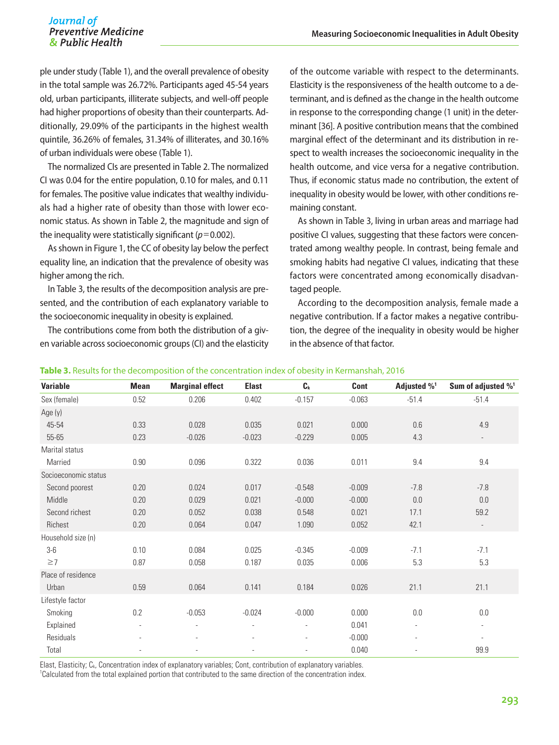#### Journal of **Preventive Medicine** & Public Health

ple under study (Table 1), and the overall prevalence of obesity in the total sample was 26.72%. Participants aged 45-54 years old, urban participants, illiterate subjects, and well-off people had higher proportions of obesity than their counterparts. Additionally, 29.09% of the participants in the highest wealth quintile, 36.26% of females, 31.34% of illiterates, and 30.16% of urban individuals were obese (Table 1).

The normalized CIs are presented in Table 2. The normalized CI was 0.04 for the entire population, 0.10 for males, and 0.11 for females. The positive value indicates that wealthy individuals had a higher rate of obesity than those with lower economic status. As shown in Table 2, the magnitude and sign of the inequality were statistically significant ( $p=0.002$ ).

As shown in Figure 1, the CC of obesity lay below the perfect equality line, an indication that the prevalence of obesity was higher among the rich.

In Table 3, the results of the decomposition analysis are presented, and the contribution of each explanatory variable to the socioeconomic inequality in obesity is explained.

The contributions come from both the distribution of a given variable across socioeconomic groups (CI) and the elasticity of the outcome variable with respect to the determinants. Elasticity is the responsiveness of the health outcome to a determinant, and is defined as the change in the health outcome in response to the corresponding change (1 unit) in the determinant [36]. A positive contribution means that the combined marginal effect of the determinant and its distribution in respect to wealth increases the socioeconomic inequality in the health outcome, and vice versa for a negative contribution. Thus, if economic status made no contribution, the extent of inequality in obesity would be lower, with other conditions remaining constant.

As shown in Table 3, living in urban areas and marriage had positive CI values, suggesting that these factors were concentrated among wealthy people. In contrast, being female and smoking habits had negative CI values, indicating that these factors were concentrated among economically disadvantaged people.

According to the decomposition analysis, female made a negative contribution. If a factor makes a negative contribution, the degree of the inequality in obesity would be higher in the absence of that factor.

| <b>Variable</b>      | <b>Mean</b> | <b>Marginal effect</b> | <b>Elast</b> | $C_{k}$  | Cont     | Adjusted % <sup>1</sup> | Sum of adjusted % <sup>1</sup> |
|----------------------|-------------|------------------------|--------------|----------|----------|-------------------------|--------------------------------|
| Sex (female)         | 0.52        | 0.206                  | 0.402        | $-0.157$ | $-0.063$ | $-51.4$                 | $-51.4$                        |
| Age (y)              |             |                        |              |          |          |                         |                                |
| 45-54                | 0.33        | 0.028                  | 0.035        | 0.021    | 0.000    | 0.6                     | 4.9                            |
| 55-65                | 0.23        | $-0.026$               | $-0.023$     | $-0.229$ | 0.005    | 4.3                     | $\sim$                         |
| Marital status       |             |                        |              |          |          |                         |                                |
| Married              | 0.90        | 0.096                  | 0.322        | 0.036    | 0.011    | 9.4                     | 9.4                            |
| Socioeconomic status |             |                        |              |          |          |                         |                                |
| Second poorest       | 0.20        | 0.024                  | 0.017        | $-0.548$ | $-0.009$ | $-7.8$                  | $-7.8$                         |
| Middle               | 0.20        | 0.029                  | 0.021        | $-0.000$ | $-0.000$ | 0.0                     | 0.0                            |
| Second richest       | 0.20        | 0.052                  | 0.038        | 0.548    | 0.021    | 17.1                    | 59.2                           |
| Richest              | 0.20        | 0.064                  | 0.047        | 1.090    | 0.052    | 42.1                    | $\overline{\phantom{a}}$       |
| Household size (n)   |             |                        |              |          |          |                         |                                |
| $3-6$                | 0.10        | 0.084                  | 0.025        | $-0.345$ | $-0.009$ | $-7.1$                  | $-7.1$                         |
| $\geq$ 7             | 0.87        | 0.058                  | 0.187        | 0.035    | 0.006    | 5.3                     | 5.3                            |
| Place of residence   |             |                        |              |          |          |                         |                                |
| Urban                | 0.59        | 0.064                  | 0.141        | 0.184    | 0.026    | 21.1                    | 21.1                           |
| Lifestyle factor     |             |                        |              |          |          |                         |                                |
| Smoking              | 0.2         | $-0.053$               | $-0.024$     | $-0.000$ | 0.000    | 0.0                     | 0.0                            |
| Explained            | $\sim$      | $\blacksquare$         |              | ÷,       | 0.041    | ÷,                      | $\blacksquare$                 |
| Residuals            |             |                        |              |          | $-0.000$ |                         | $\overline{\phantom{a}}$       |
| Total                |             |                        |              |          | 0.040    |                         | 99.9                           |

**Table 3.** Results for the decomposition of the concentration index of obesity in Kermanshah, 2016

Elast, Elasticity; C<sub>k</sub>, Concentration index of explanatory variables; Cont, contribution of explanatory variables. 1 Calculated from the total explained portion that contributed to the same direction of the concentration index.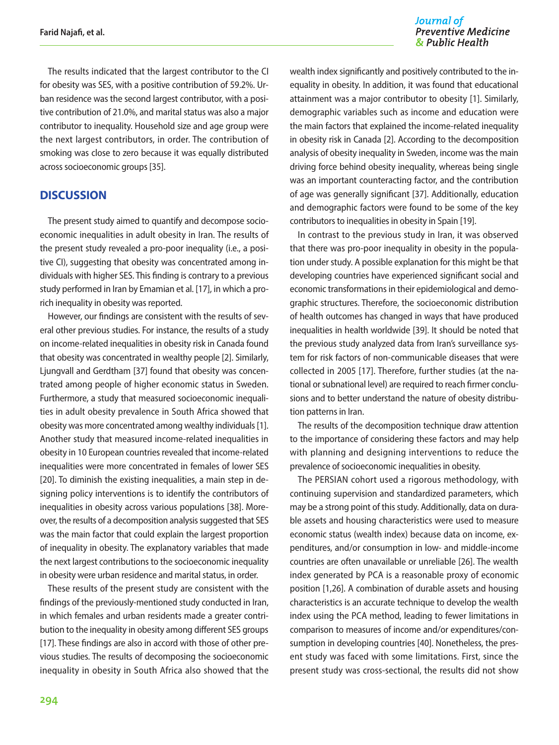The results indicated that the largest contributor to the CI for obesity was SES, with a positive contribution of 59.2%. Urban residence was the second largest contributor, with a positive contribution of 21.0%, and marital status was also a major contributor to inequality. Household size and age group were the next largest contributors, in order. The contribution of smoking was close to zero because it was equally distributed across socioeconomic groups [35].

#### **DISCUSSION**

The present study aimed to quantify and decompose socioeconomic inequalities in adult obesity in Iran. The results of the present study revealed a pro-poor inequality (i.e., a positive CI), suggesting that obesity was concentrated among individuals with higher SES. This finding is contrary to a previous study performed in Iran by Emamian et al. [17], in which a prorich inequality in obesity was reported.

However, our findings are consistent with the results of several other previous studies. For instance, the results of a study on income-related inequalities in obesity risk in Canada found that obesity was concentrated in wealthy people [2]. Similarly, Ljungvall and Gerdtham [37] found that obesity was concentrated among people of higher economic status in Sweden. Furthermore, a study that measured socioeconomic inequalities in adult obesity prevalence in South Africa showed that obesity was more concentrated among wealthy individuals [1]. Another study that measured income-related inequalities in obesity in 10 European countries revealed that income-related inequalities were more concentrated in females of lower SES [20]. To diminish the existing inequalities, a main step in designing policy interventions is to identify the contributors of inequalities in obesity across various populations [38]. Moreover, the results of a decomposition analysis suggested that SES was the main factor that could explain the largest proportion of inequality in obesity. The explanatory variables that made the next largest contributions to the socioeconomic inequality in obesity were urban residence and marital status, in order.

These results of the present study are consistent with the findings of the previously-mentioned study conducted in Iran, in which females and urban residents made a greater contribution to the inequality in obesity among different SES groups [17]. These findings are also in accord with those of other previous studies. The results of decomposing the socioeconomic inequality in obesity in South Africa also showed that the

# Journal of<br>Preventive Medicine & Public Health

wealth index significantly and positively contributed to the inequality in obesity. In addition, it was found that educational attainment was a major contributor to obesity [1]. Similarly, demographic variables such as income and education were the main factors that explained the income-related inequality in obesity risk in Canada [2]. According to the decomposition analysis of obesity inequality in Sweden, income was the main driving force behind obesity inequality, whereas being single was an important counteracting factor, and the contribution of age was generally significant [37]. Additionally, education and demographic factors were found to be some of the key contributors to inequalities in obesity in Spain [19].

In contrast to the previous study in Iran, it was observed that there was pro-poor inequality in obesity in the population under study. A possible explanation for this might be that developing countries have experienced significant social and economic transformations in their epidemiological and demographic structures. Therefore, the socioeconomic distribution of health outcomes has changed in ways that have produced inequalities in health worldwide [39]. It should be noted that the previous study analyzed data from Iran's surveillance system for risk factors of non-communicable diseases that were collected in 2005 [17]. Therefore, further studies (at the national or subnational level) are required to reach firmer conclusions and to better understand the nature of obesity distribution patterns in Iran.

The results of the decomposition technique draw attention to the importance of considering these factors and may help with planning and designing interventions to reduce the prevalence of socioeconomic inequalities in obesity.

The PERSIAN cohort used a rigorous methodology, with continuing supervision and standardized parameters, which may be a strong point of this study. Additionally, data on durable assets and housing characteristics were used to measure economic status (wealth index) because data on income, expenditures, and/or consumption in low- and middle-income countries are often unavailable or unreliable [26]. The wealth index generated by PCA is a reasonable proxy of economic position [1,26]. A combination of durable assets and housing characteristics is an accurate technique to develop the wealth index using the PCA method, leading to fewer limitations in comparison to measures of income and/or expenditures/consumption in developing countries [40]. Nonetheless, the present study was faced with some limitations. First, since the present study was cross-sectional, the results did not show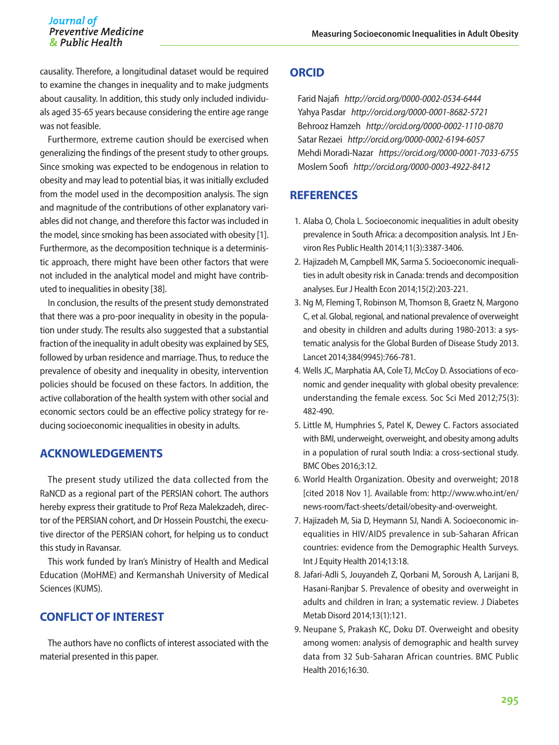#### Journal of **Preventive Medicine** & Public Health

causality. Therefore, a longitudinal dataset would be required to examine the changes in inequality and to make judgments about causality. In addition, this study only included individuals aged 35-65 years because considering the entire age range was not feasible.

Furthermore, extreme caution should be exercised when generalizing the findings of the present study to other groups. Since smoking was expected to be endogenous in relation to obesity and may lead to potential bias, it was initially excluded from the model used in the decomposition analysis. The sign and magnitude of the contributions of other explanatory variables did not change, and therefore this factor was included in the model, since smoking has been associated with obesity [1]. Furthermore, as the decomposition technique is a deterministic approach, there might have been other factors that were not included in the analytical model and might have contributed to inequalities in obesity [38].

In conclusion, the results of the present study demonstrated that there was a pro-poor inequality in obesity in the population under study. The results also suggested that a substantial fraction of the inequality in adult obesity was explained by SES, followed by urban residence and marriage. Thus, to reduce the prevalence of obesity and inequality in obesity, intervention policies should be focused on these factors. In addition, the active collaboration of the health system with other social and economic sectors could be an effective policy strategy for reducing socioeconomic inequalities in obesity in adults.

# **ACKNOWLEDGEMENTS**

The present study utilized the data collected from the RaNCD as a regional part of the PERSIAN cohort. The authors hereby express their gratitude to Prof Reza Malekzadeh, director of the PERSIAN cohort, and Dr Hossein Poustchi, the executive director of the PERSIAN cohort, for helping us to conduct this study in Ravansar.

This work funded by Iran's Ministry of Health and Medical Education (MoHME) and Kermanshah University of Medical Sciences (KUMS).

# **CONFLICT OF INTEREST**

The authors have no conflicts of interest associated with the material presented in this paper.

### **ORCID**

Farid Najafi *http://orcid.org/0000-0002-0534-6444* Yahya Pasdar *http://orcid.org/0000-0001-8682-5721* Behrooz Hamzeh *http://orcid.org/0000-0002-1110-0870* Satar Rezaei *http://orcid.org/0000-0002-6194-6057* Mehdi Moradi-Nazar *https://orcid.org/0000-0001-7033-6755* Moslem Soofi *http://orcid.org/0000-0003-4922-8412*

# **REFERENCES**

- 1. Alaba O, Chola L. Socioeconomic inequalities in adult obesity prevalence in South Africa: a decomposition analysis. Int J Environ Res Public Health 2014;11(3):3387-3406.
- 2. Hajizadeh M, Campbell MK, Sarma S. Socioeconomic inequalities in adult obesity risk in Canada: trends and decomposition analyses. Eur J Health Econ 2014;15(2):203-221.
- 3. Ng M, Fleming T, Robinson M, Thomson B, Graetz N, Margono C, et al. Global, regional, and national prevalence of overweight and obesity in children and adults during 1980-2013: a systematic analysis for the Global Burden of Disease Study 2013. Lancet 2014;384(9945):766-781.
- 4. Wells JC, Marphatia AA, Cole TJ, McCoy D. Associations of economic and gender inequality with global obesity prevalence: understanding the female excess. Soc Sci Med 2012;75(3): 482-490.
- 5. Little M, Humphries S, Patel K, Dewey C. Factors associated with BMI, underweight, overweight, and obesity among adults in a population of rural south India: a cross-sectional study. BMC Obes 2016;3:12.
- 6. World Health Organization. Obesity and overweight; 2018 [cited 2018 Nov 1]. Available from: http://www.who.int/en/ news-room/fact-sheets/detail/obesity-and-overweight.
- 7. Hajizadeh M, Sia D, Heymann SJ, Nandi A. Socioeconomic inequalities in HIV/AIDS prevalence in sub-Saharan African countries: evidence from the Demographic Health Surveys. Int J Equity Health 2014;13:18.
- 8. Jafari-Adli S, Jouyandeh Z, Qorbani M, Soroush A, Larijani B, Hasani-Ranjbar S. Prevalence of obesity and overweight in adults and children in Iran; a systematic review. J Diabetes Metab Disord 2014;13(1):121.
- 9. Neupane S, Prakash KC, Doku DT. Overweight and obesity among women: analysis of demographic and health survey data from 32 Sub-Saharan African countries. BMC Public Health 2016;16:30.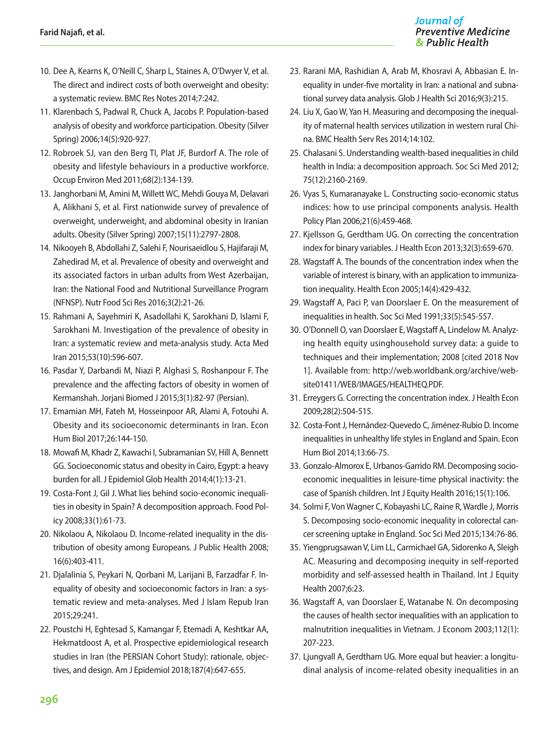- 10. Dee A, Kearns K, O'Neill C, Sharp L, Staines A, O'Dwyer V, et al. The direct and indirect costs of both overweight and obesity: a systematic review. BMC Res Notes 2014;7:242.
- 11. Klarenbach S, Padwal R, Chuck A, Jacobs P. Population-based analysis of obesity and workforce participation. Obesity (Silver Spring) 2006;14(5):920-927.
- 12. Robroek SJ, van den Berg TI, Plat JF, Burdorf A. The role of obesity and lifestyle behaviours in a productive workforce. Occup Environ Med 2011;68(2):134-139.
- 13. Janghorbani M, Amini M, Willett WC, Mehdi Gouya M, Delavari A, Alikhani S, et al. First nationwide survey of prevalence of overweight, underweight, and abdominal obesity in Iranian adults. Obesity (Silver Spring) 2007;15(11):2797-2808.
- 14. Nikooyeh B, Abdollahi Z, Salehi F, Nourisaeidlou S, Hajifaraji M, Zahedirad M, et al. Prevalence of obesity and overweight and its associated factors in urban adults from West Azerbaijan, Iran: the National Food and Nutritional Surveillance Program (NFNSP). Nutr Food Sci Res 2016;3(2):21-26.
- 15. Rahmani A, Sayehmiri K, Asadollahi K, Sarokhani D, Islami F, Sarokhani M. Investigation of the prevalence of obesity in Iran: a systematic review and meta-analysis study. Acta Med Iran 2015;53(10):596-607.
- 16. Pasdar Y, Darbandi M, Niazi P, Alghasi S, Roshanpour F. The prevalence and the affecting factors of obesity in women of Kermanshah. Jorjani Biomed J 2015;3(1):82-97 (Persian).
- 17. Emamian MH, Fateh M, Hosseinpoor AR, Alami A, Fotouhi A. Obesity and its socioeconomic determinants in Iran. Econ Hum Biol 2017;26:144-150.
- 18. Mowafi M, Khadr Z, Kawachi I, Subramanian SV, Hill A, Bennett GG. Socioeconomic status and obesity in Cairo, Egypt: a heavy burden for all. J Epidemiol Glob Health 2014;4(1):13-21.
- 19. Costa-Font J, Gil J. What lies behind socio-economic inequalities in obesity in Spain? A decomposition approach. Food Policy 2008;33(1):61-73.
- 20. Nikolaou A, Nikolaou D. Income-related inequality in the distribution of obesity among Europeans. J Public Health 2008; 16(6):403-411.
- 21. Djalalinia S, Peykari N, Qorbani M, Larijani B, Farzadfar F. Inequality of obesity and socioeconomic factors in Iran: a systematic review and meta-analyses. Med J Islam Repub Iran 2015;29:241.
- 22. Poustchi H, Eghtesad S, Kamangar F, Etemadi A, Keshtkar AA, Hekmatdoost A, et al. Prospective epidemiological research studies in Iran (the PERSIAN Cohort Study): rationale, objectives, and design. Am J Epidemiol 2018;187(4):647-655.
- 23. Rarani MA, Rashidian A, Arab M, Khosravi A, Abbasian E. Inequality in under-five mortality in Iran: a national and subnational survey data analysis. Glob J Health Sci 2016;9(3):215.
- 24. Liu X, Gao W, Yan H. Measuring and decomposing the inequality of maternal health services utilization in western rural China. BMC Health Serv Res 2014;14:102.
- 25. Chalasani S. Understanding wealth-based inequalities in child health in India: a decomposition approach. Soc Sci Med 2012; 75(12):2160-2169.
- 26. Vyas S, Kumaranayake L. Constructing socio-economic status indices: how to use principal components analysis. Health Policy Plan 2006;21(6):459-468.
- 27. Kjellsson G, Gerdtham UG. On correcting the concentration index for binary variables. J Health Econ 2013;32(3):659-670.
- 28. Wagstaff A. The bounds of the concentration index when the variable of interest is binary, with an application to immunization inequality. Health Econ 2005;14(4):429-432.
- 29. Wagstaff A, Paci P, van Doorslaer E. On the measurement of inequalities in health. Soc Sci Med 1991;33(5):545-557.
- 30. O'Donnell O, van Doorslaer E, Wagstaff A, Lindelow M. Analyzing health equity usinghousehold survey data: a guide to techniques and their implementation; 2008 [cited 2018 Nov 1]. Available from: [http://web.worldbank.org/archive/web](http://web.worldbank.org/archive/website01411/WEB/IMAGES/HEALTHEQ.PDF)[site01411/WEB/IMAGES/HEALTHEQ.PDF.](http://web.worldbank.org/archive/website01411/WEB/IMAGES/HEALTHEQ.PDF)
- 31. Erreygers G. Correcting the concentration index. J Health Econ 2009;28(2):504-515.
- 32. Costa-Font J, Hernández-Quevedo C, Jiménez-Rubio D. Income inequalities in unhealthy life styles in England and Spain. Econ Hum Biol 2014;13:66-75.
- 33. Gonzalo-Almorox E, Urbanos-Garrido RM. Decomposing socioeconomic inequalities in leisure-time physical inactivity: the case of Spanish children. Int J Equity Health 2016;15(1):106.
- 34. Solmi F, Von Wagner C, Kobayashi LC, Raine R, Wardle J, Morris S. Decomposing socio-economic inequality in colorectal cancer screening uptake in England. Soc Sci Med 2015;134:76-86.
- 35. Yiengprugsawan V, Lim LL, Carmichael GA, Sidorenko A, Sleigh AC. Measuring and decomposing inequity in self-reported morbidity and self-assessed health in Thailand. Int J Equity Health 2007;6:23.
- 36. Wagstaff A, van Doorslaer E, Watanabe N. On decomposing the causes of health sector inequalities with an application to malnutrition inequalities in Vietnam. J Econom 2003;112(1): 207-223.
- 37. Ljungvall A, Gerdtham UG. More equal but heavier: a longitudinal analysis of income-related obesity inequalities in an